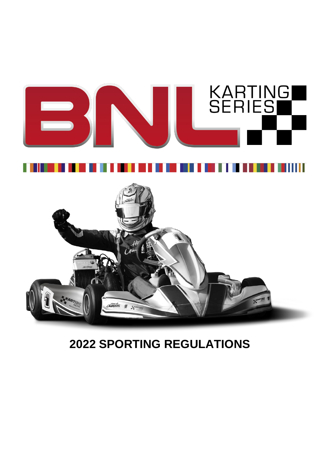





# **2022 SPORTING REGULATIONS**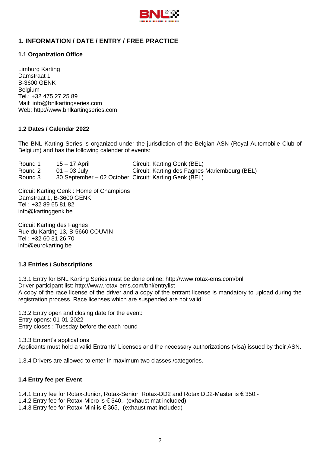

# **1. INFORMATION / DATE / ENTRY / FREE PRACTICE**

#### **1.1 Organization Office**

Limburg Karting Damstraat 1 B-3600 GENK Belgium Tel.: +32 475 27 25 89 Mail: [info@bnlkartingseries.com](mailto:info@bnlkartingseries.com) Web: [http://www.bnlkartingseries.com](http://www.bnlkartingseries.com/)

#### **1.2 Dates / Calendar 2022**

The BNL Karting Series is organized under the jurisdiction of the Belgian ASN (Royal Automobile Club of Belgium) and has the following calender of events:

| Round 1 | 15 – 17 April                                         | Circuit: Karting Genk (BEL)                   |
|---------|-------------------------------------------------------|-----------------------------------------------|
| Round 2 | $01 - 03$ July                                        | Circuit: Karting des Fagnes Mariembourg (BEL) |
| Round 3 | 30 September – 02 October Circuit: Karting Genk (BEL) |                                               |

Circuit Karting Genk : Home of Champions Damstraat 1, B-3600 GENK Tel : +32 89 65 81 82 info@kartinggenk.be

Circuit Karting des Fagnes Rue du Karting 13, B-5660 COUVIN Tel : +32 60 31 26 70 info@eurokarting.be

#### **1.3 Entries / Subscriptions**

1.3.1 Entry for BNL Karting Series must be done online: <http://www.rotax-ems.com/bnl> Driver participant list: <http://www.rotax-ems.com/bnl/entrylist> A copy of the race license of the driver and a copy of the entrant license is mandatory to upload during the registration process. Race licenses which are suspended are not valid!

1.3.2 Entry open and closing date for the event: Entry opens: 01-01-2022 Entry closes : Tuesday before the each round

1.3.3 Entrant's applications Applicants must hold a valid Entrants' Licenses and the necessary authorizations (visa) issued by their ASN.

1.3.4 Drivers are allowed to enter in maximum two classes /categories.

#### **1.4 Entry fee per Event**

1.4.1 Entry fee for Rotax-Junior, Rotax-Senior, Rotax-DD2 and Rotax DD2-Master is € 350,-

- 1.4.2 Entry fee for Rotax-Micro is € 340,- (exhaust mat included)
- 1.4.3 Entry fee for Rotax-Mini is € 365,- (exhaust mat included)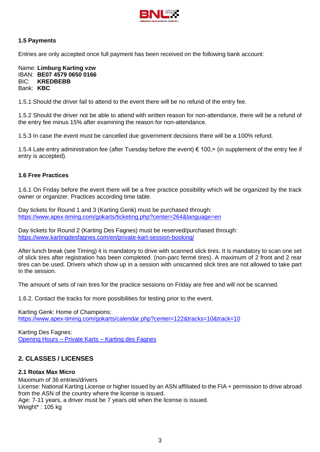

## **1.5 Payments**

Entries are only accepted once full payment has been received on the following bank account:

Name: **Limburg Karting vzw** IBAN: **BE07 4579 0650 0166** BIC: **KREDBEBB** Bank: **KBC**

1.5.1 Should the driver fail to attend to the event there will be no refund of the entry fee.

1.5.2 Should the driver not be able to attend with written reason for non-attendance, there will be a refund of the entry fee minus 15% after examining the reason for non-attendance.

1.5.3 In case the event must be cancelled due government decisions there will be a 100% refund.

1.5.4 Late entry administration fee (after Tuesday before the event) € 100,= (in supplement of the entry fee if entry is accepted).

#### **1.6 Free Practices**

1.6.1 On Friday before the event there will be a free practice possibility which will be organized by the track owner or organizer. Practices according time table.

Day tickets for Round 1 and 3 (Karting Genk) must be purchased through: <https://www.apex-timing.com/gokarts/ticketing.php?center=264&language=en>

Day tickets for Round 2 (Karting Des Fagnes) must be reserved/purchased through: <https://www.kartingdesfagnes.com/en/private-kart-session-booking/>

After lunch break (see Timing) it is mandatory to drive with scanned slick tires. It is mandatory to scan one set of slick tires after registration has been completed. (non-parc fermé tires). A maximum of 2 front and 2 rear tires can be used. Drivers which show up in a session with unscanned slick tires are not allowed to take part in the session.

The amount of sets of rain tires for the practice sessions on Friday are free and will not be scanned.

1.6.2. Contact the tracks for more possibilities for testing prior to the event.

Karting Genk: Home of Champions: <https://www.apex-timing.com/gokarts/calendar.php?center=122&tracks=10&track=10>

Karting Des Fagnes: Opening Hours – Private Karts – [Karting des Fagnes](https://www.kartingdesfagnes.com/?page_id=14109&lang=en)

# **2. CLASSES / LICENSES**

#### **2.1 Rotax Max Micro**

Maximum of 36 entries/drivers License: National Karting License or higher issued by an ASN affiliated to the FIA + permission to drive abroad from the ASN of the country where the license is issued. Age: 7-11 years, a driver must be 7 years old when the license is issued. Weight\* : 105 kg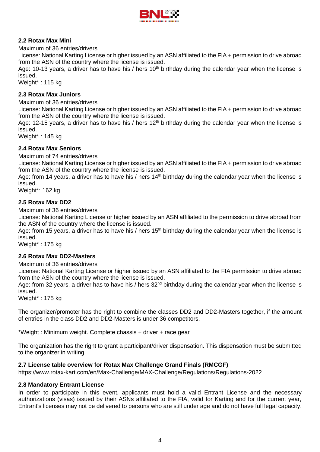

## **2.2 Rotax Max Mini**

#### Maximum of 36 entries/drivers

License: National Karting License or higher issued by an ASN affiliated to the FIA + permission to drive abroad from the ASN of the country where the license is issued.

Age: 10-13 years, a driver has to have his / hers 10<sup>th</sup> birthday during the calendar year when the license is issued.

Weight\* : 115 kg

#### **2.3 Rotax Max Juniors**

Maximum of 36 entries/drivers

License: National Karting License or higher issued by an ASN affiliated to the FIA + permission to drive abroad from the ASN of the country where the license is issued.

Age: 12-15 years, a driver has to have his / hers  $12<sup>th</sup>$  birthday during the calendar year when the license is issued.

Weight\* : 145 kg

## **2.4 Rotax Max Seniors**

Maximum of 74 entries/drivers

License: National Karting License or higher issued by an ASN affiliated to the FIA + permission to drive abroad from the ASN of the country where the license is issued.

Age: from 14 years, a driver has to have his / hers  $14<sup>th</sup>$  birthday during the calendar year when the license is issued.

Weight\*: 162 kg

#### **2.5 Rotax Max DD2**

Maximum of 36 entries/drivers

License: National Karting License or higher issued by an ASN affiliated to the permission to drive abroad from the ASN of the country where the license is issued.

Age: from 15 years, a driver has to have his / hers  $15<sup>th</sup>$  birthday during the calendar year when the license is issued.

Weight\*: 175 kg

#### **2.6 Rotax Max DD2-Masters**

Maximum of 36 entries/drivers

License: National Karting License or higher issued by an ASN affiliated to the FIA permission to drive abroad from the ASN of the country where the license is issued.

Age: from 32 years, a driver has to have his / hers 32<sup>nd</sup> birthday during the calendar year when the license is issued.

Weight\* : 175 kg

The organizer/promoter has the right to combine the classes DD2 and DD2-Masters together, if the amount of entries in the class DD2 and DD2-Masters is under 36 competitors.

\*Weight : Minimum weight. Complete chassis + driver + race gear

The organization has the right to grant a participant/driver dispensation. This dispensation must be submitted to the organizer in writing.

#### **2.7 License table overview for Rotax Max Challenge Grand Finals (RMCGF)**

[https://www.rotax-kart.com/en/Max-Challenge/MAX-Challenge/Regulations/Regulations-2022](https://www.rotax-kart.com/en/Max-Challenge/MAX-Challenge/Regulations/Regulations-2020)

#### **2.8 Mandatory Entrant License**

In order to participate in this event, applicants must hold a valid Entrant License and the necessary authorizations (visas) issued by their ASNs affiliated to the FIA, valid for Karting and for the current year, Entrant's licenses may not be delivered to persons who are still under age and do not have full legal capacity.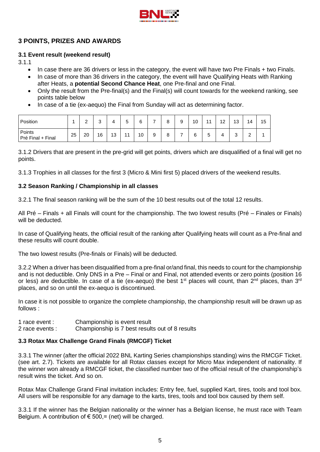

# **3 POINTS, PRIZES AND AWARDS**

## **3.1 Event result (weekend result)**

3.1.1

- In case there are 36 drivers or less in the category, the event will have two Pre Finals + two Finals.
- In case of more than 36 drivers in the category, the event will have Qualifying Heats with Ranking after Heats, a **potential Second Chance Heat**, one Pre-final and one Final.
- Only the result from the Pre-final(s) and the Final(s) will count towards for the weekend ranking, see points table below
- In case of a tie (ex-aequo) the Final from Sunday will act as determining factor.

| Position                    |    | ⌒<br>- | $\sim$<br>ບ | -- | -<br>∽<br>J    | 6  |   | ۰<br>O       | 9 | 10 | $\overline{A}$ | 12 | 13                            | 14            | 15 |
|-----------------------------|----|--------|-------------|----|----------------|----|---|--------------|---|----|----------------|----|-------------------------------|---------------|----|
| Points<br>Pré Final + Final | 25 | 20     | 16          | 13 | $\overline{A}$ | 10 | 9 | $\circ$<br>o | - | 6  | -<br>5         | 4  | $\overline{\phantom{0}}$<br>ບ | ◠<br><u>.</u> |    |

3.1.2 Drivers that are present in the pre-grid will get points, drivers which are disqualified of a final will get no points.

3.1.3 Trophies in all classes for the first 3 (Micro & Mini first 5) placed drivers of the weekend results.

## **3.2 Season Ranking / Championship in all classes**

3.2.1 The final season ranking will be the sum of the 10 best results out of the total 12 results.

All Pré – Finals + all Finals will count for the championship. The two lowest results (Pré – Finales or Finals) will be deducted.

In case of Qualifying heats, the official result of the ranking after Qualifying heats will count as a Pre-final and these results will count double.

The two lowest results (Pre-finals or Finals) will be deducted.

3.2.2 When a driver has been disqualified from a pre-final or/and final, this needs to count for the championship and is not deductible. Only DNS in a Pre – Final or and Final, not attended events or zero points (position 16 or less) are deductible. In case of a tie (ex-aequo) the best 1<sup>st</sup> places will count, than 2<sup>nd</sup> places, than 3<sup>rd</sup> places, and so on until the ex-aequo is discontinued.

In case it is not possible to organize the complete championship, the championship result will be drawn up as follows :

1 race event : Championship is event result

2 race events : Championship is 7 best results out of 8 results

#### **3.3 Rotax Max Challenge Grand Finals (RMCGF) Ticket**

3.3.1 The winner (after the official 2022 BNL Karting Series championships standing) wins the RMCGF Ticket. (see art. 2.7). Tickets are available for all Rotax classes except for Micro Max independent of nationality. If the winner won already a RMCGF ticket, the classified number two of the official result of the championship's result wins the ticket. And so on.

Rotax Max Challenge Grand Final invitation includes: Entry fee, fuel, supplied Kart, tires, tools and tool box. All users will be responsible for any damage to the karts, tires, tools and tool box caused by them self.

3.3.1 If the winner has the Belgian nationality or the winner has a Belgian license, he must race with Team Belgium. A contribution of  $\epsilon$  500,= (net) will be charged.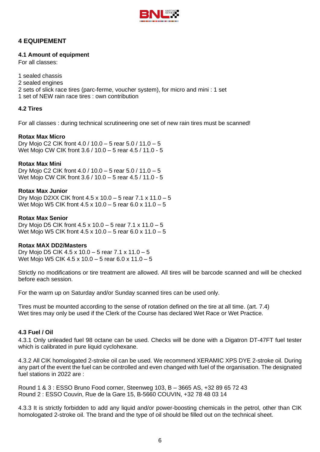

# **4 EQUIPEMENT**

#### **4.1 Amount of equipment**

For all classes:

- 1 sealed chassis
- 2 sealed engines
- 2 sets of slick race tires (parc-ferme, voucher system), for micro and mini : 1 set
- 1 set of NEW rain race tires : own contribution

## **4.2 Tires**

For all classes : during technical scrutineering one set of new rain tires must be scanned!

## **Rotax Max Micro**

Dry Mojo C2 CIK front 4.0 / 10.0 – 5 rear 5.0 / 11.0 – 5 Wet Mojo CW CIK front 3.6 / 10.0 – 5 rear 4.5 / 11.0 - 5

## **Rotax Max Mini**

Dry Mojo C2 CIK front 4.0 / 10.0 – 5 rear 5.0 / 11.0 – 5 Wet Mojo CW CIK front 3.6 / 10.0 – 5 rear 4.5 / 11.0 - 5

#### **Rotax Max Junior**

Dry Mojo D2XX CIK front 4.5 x 10.0 – 5 rear 7.1 x 11.0 – 5 Wet Mojo W5 CIK front 4.5 x 10.0 – 5 rear 6.0 x 11.0 – 5

#### **Rotax Max Senior**

Dry Mojo D5 CIK front 4.5 x 10.0 – 5 rear 7.1 x 11.0 – 5 Wet Mojo W5 CIK front 4.5 x 10.0 – 5 rear 6.0 x 11.0 – 5

#### **Rotax MAX DD2/Masters**

Dry Mojo D5 CIK 4.5 x 10.0 – 5 rear 7.1 x 11.0 – 5 Wet Mojo W5 CIK 4.5 x 10.0 – 5 rear 6.0 x 11.0 – 5

Strictly no modifications or tire treatment are allowed. All tires will be barcode scanned and will be checked before each session.

For the warm up on Saturday and/or Sunday scanned tires can be used only.

Tires must be mounted according to the sense of rotation defined on the tire at all time. (art. 7.4) Wet tires may only be used if the Clerk of the Course has declared Wet Race or Wet Practice.

#### **4.3 Fuel / Oil**

4.3.1 Only unleaded fuel 98 octane can be used. Checks will be done with a Digatron DT-47FT fuel tester which is calibrated in pure liquid cyclohexane.

4.3.2 All CIK homologated 2-stroke oil can be used. We recommend XERAMIC XPS DYE 2-stroke oil. During any part of the event the fuel can be controlled and even changed with fuel of the organisation. The designated fuel stations in 2022 are :

Round 1 & 3 : ESSO Bruno Food corner, Steenweg 103, B – 3665 AS, +32 89 65 72 43 Round 2 : ESSO Couvin, Rue de la Gare 15, B-5660 COUVIN, +32 78 48 03 14

4.3.3 It is strictly forbidden to add any liquid and/or power-boosting chemicals in the petrol, other than CIK homologated 2-stroke oil. The brand and the type of oil should be filled out on the technical sheet.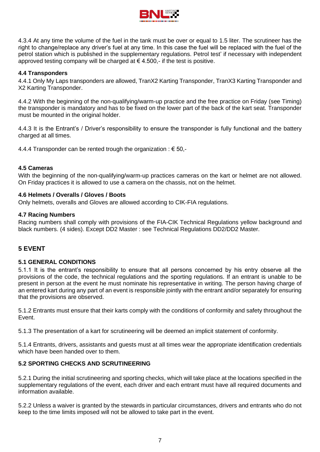

4.3.4 At any time the volume of the fuel in the tank must be over or equal to 1.5 liter. The scrutineer has the right to change/replace any driver's fuel at any time. In this case the fuel will be replaced with the fuel of the petrol station which is published in the supplementary regulations. Petrol test' if necessary with independent approved testing company will be charged at  $\in$  4.500,- if the test is positive.

## **4.4 Transponders**

4.4.1 Only My Laps transponders are allowed, TranX2 Karting Transponder, TranX3 Karting Transponder and X2 Karting Transponder.

4.4.2 With the beginning of the non-qualifying/warm-up practice and the free practice on Friday (see Timing) the transponder is mandatory and has to be fixed on the lower part of the back of the kart seat. Transponder must be mounted in the original holder.

4.4.3 It is the Entrant's / Driver's responsibility to ensure the transponder is fully functional and the battery charged at all times.

4.4.4 Transponder can be rented trough the organization :  $\epsilon$  50,-

#### **4.5 Cameras**

With the beginning of the non-qualifying/warm-up practices cameras on the kart or helmet are not allowed. On Friday practices it is allowed to use a camera on the chassis, not on the helmet.

## **4.6 Helmets / Overalls / Gloves / Boots**

Only helmets, overalls and Gloves are allowed according to CIK-FIA regulations.

#### **4.7 Racing Numbers**

Racing numbers shall comply with provisions of the FIA-CIK Technical Regulations yellow background and black numbers. (4 sides). Except DD2 Master : see Technical Regulations DD2/DD2 Master.

## **5 EVENT**

#### **5.1 GENERAL CONDITIONS**

5.1.1 It is the entrant's responsibility to ensure that all persons concerned by his entry observe all the provisions of the code, the technical regulations and the sporting regulations. If an entrant is unable to be present in person at the event he must nominate his representative in writing. The person having charge of an entered kart during any part of an event is responsible jointly with the entrant and/or separately for ensuring that the provisions are observed.

5.1.2 Entrants must ensure that their karts comply with the conditions of conformity and safety throughout the Event.

5.1.3 The presentation of a kart for scrutineering will be deemed an implicit statement of conformity.

5.1.4 Entrants, drivers, assistants and guests must at all times wear the appropriate identification credentials which have been handed over to them.

#### **5.2 SPORTING CHECKS AND SCRUTINEERING**

5.2.1 During the initial scrutineering and sporting checks, which will take place at the locations specified in the supplementary regulations of the event, each driver and each entrant must have all required documents and information available.

5.2.2 Unless a waiver is granted by the stewards in particular circumstances, drivers and entrants who do not keep to the time limits imposed will not be allowed to take part in the event.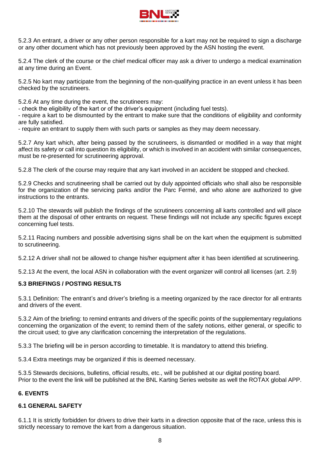

5.2.3 An entrant, a driver or any other person responsible for a kart may not be required to sign a discharge or any other document which has not previously been approved by the ASN hosting the event.

5.2.4 The clerk of the course or the chief medical officer may ask a driver to undergo a medical examination at any time during an Event.

5.2.5 No kart may participate from the beginning of the non-qualifying practice in an event unless it has been checked by the scrutineers.

5.2.6 At any time during the event, the scrutineers may:

- check the eligibility of the kart or of the driver's equipment (including fuel tests).

- require a kart to be dismounted by the entrant to make sure that the conditions of eligibility and conformity are fully satisfied.

- require an entrant to supply them with such parts or samples as they may deem necessary.

5.2.7 Any kart which, after being passed by the scrutineers, is dismantled or modified in a way that might affect its safety or call into question its eligibility, or which is involved in an accident with similar consequences, must be re-presented for scrutineering approval.

5.2.8 The clerk of the course may require that any kart involved in an accident be stopped and checked.

5.2.9 Checks and scrutineering shall be carried out by duly appointed officials who shall also be responsible for the organization of the servicing parks and/or the Parc Fermé, and who alone are authorized to give instructions to the entrants.

5.2.10 The stewards will publish the findings of the scrutineers concerning all karts controlled and will place them at the disposal of other entrants on request. These findings will not include any specific figures except concerning fuel tests.

5.2.11 Racing numbers and possible advertising signs shall be on the kart when the equipment is submitted to scrutineering.

5.2.12 A driver shall not be allowed to change his/her equipment after it has been identified at scrutineering.

5.2.13 At the event, the local ASN in collaboration with the event organizer will control all licenses (art. 2.9)

#### **5.3 BRIEFINGS / POSTING RESULTS**

5.3.1 Definition: The entrant's and driver's briefing is a meeting organized by the race director for all entrants and drivers of the event.

5.3.2 Aim of the briefing: to remind entrants and drivers of the specific points of the supplementary regulations concerning the organization of the event; to remind them of the safety notions, either general, or specific to the circuit used; to give any clarification concerning the interpretation of the regulations.

5.3.3 The briefing will be in person according to timetable. It is mandatory to attend this briefing.

5.3.4 Extra meetings may be organized if this is deemed necessary.

5.3.5 Stewards decisions, bulletins, official results, etc., will be published at our digital posting board. Prior to the event the link will be published at the BNL Karting Series website as well the ROTAX global APP.

#### **6. EVENTS**

#### **6.1 GENERAL SAFETY**

6.1.1 It is strictly forbidden for drivers to drive their karts in a direction opposite that of the race, unless this is strictly necessary to remove the kart from a dangerous situation.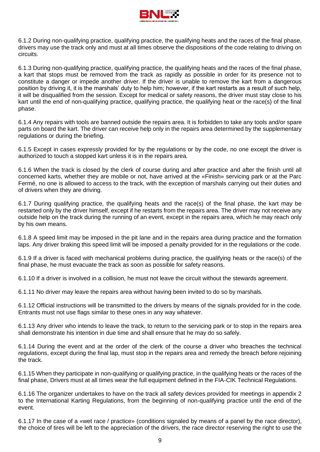

6.1.2 During non-qualifying practice, qualifying practice, the qualifying heats and the races of the final phase, drivers may use the track only and must at all times observe the dispositions of the code relating to driving on circuits.

6.1.3 During non-qualifying practice, qualifying practice, the qualifying heats and the races of the final phase, a kart that stops must be removed from the track as rapidly as possible in order for its presence not to constitute a danger or impede another driver. If the driver is unable to remove the kart from a dangerous position by driving it, it is the marshals' duty to help him; however, if the kart restarts as a result of such help, it will be disqualified from the session. Except for medical or safety reasons, the driver must stay close to his kart until the end of non-qualifying practice, qualifying practice, the qualifying heat or the race(s) of the final phase.

6.1.4 Any repairs with tools are banned outside the repairs area. It is forbidden to take any tools and/or spare parts on board the kart. The driver can receive help only in the repairs area determined by the supplementary regulations or during the briefing.

6.1.5 Except in cases expressly provided for by the regulations or by the code, no one except the driver is authorized to touch a stopped kart unless it is in the repairs area.

6.1.6 When the track is closed by the clerk of course during and after practice and after the finish until all concerned karts, whether they are mobile or not, have arrived at the «Finish» servicing park or at the Parc Fermé, no one is allowed to access to the track, with the exception of marshals carrying out their duties and of drivers when they are driving.

6.1.7 During qualifying practice, the qualifying heats and the race(s) of the final phase, the kart may be restarted only by the driver himself, except if he restarts from the repairs area. The driver may not receive any outside help on the track during the running of an event, except in the repairs area, which he may reach only by his own means.

6.1.8 A speed limit may be imposed in the pit lane and in the repairs area during practice and the formation laps. Any driver braking this speed limit will be imposed a penalty provided for in the regulations or the code.

6.1.9 If a driver is faced with mechanical problems during practice, the qualifying heats or the race(s) of the final phase, he must evacuate the track as soon as possible for safety reasons.

6.1.10 If a driver is involved in a collision, he must not leave the circuit without the stewards agreement.

6.1.11 No driver may leave the repairs area without having been invited to do so by marshals.

6.1.12 Official instructions will be transmitted to the drivers by means of the signals provided for in the code. Entrants must not use flags similar to these ones in any way whatever.

6.1.13 Any driver who intends to leave the track, to return to the servicing park or to stop in the repairs area shall demonstrate his intention in due time and shall ensure that he may do so safely.

6.1.14 During the event and at the order of the clerk of the course a driver who breaches the technical regulations, except during the final lap, must stop in the repairs area and remedy the breach before rejoining the track.

6.1.15 When they participate in non-qualifying or qualifying practice, in the qualifying heats or the races of the final phase, Drivers must at all times wear the full equipment defined in the FIA-CIK Technical Regulations.

6.1.16 The organizer undertakes to have on the track all safety devices provided for meetings in appendix 2 to the International Karting Regulations, from the beginning of non-qualifying practice until the end of the event.

6.1.17 In the case of a «wet race / practice» (conditions signaled by means of a panel by the race director), the choice of tires will be left to the appreciation of the drivers, the race director reserving the right to use the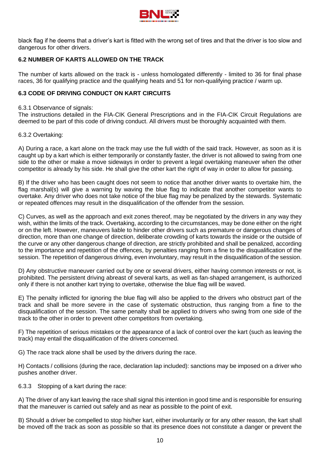

black flag if he deems that a driver's kart is fitted with the wrong set of tires and that the driver is too slow and dangerous for other drivers.

## **6.2 NUMBER OF KARTS ALLOWED ON THE TRACK**

The number of karts allowed on the track is - unless homologated differently - limited to 36 for final phase races, 36 for qualifying practice and the qualifying heats and 51 for non-qualifying practice / warm up.

#### **6.3 CODE OF DRIVING CONDUCT ON KART CIRCUITS**

#### 6.3.1 Observance of signals:

The instructions detailed in the FIA-CIK General Prescriptions and in the FIA-CIK Circuit Regulations are deemed to be part of this code of driving conduct. All drivers must be thoroughly acquainted with them.

#### 6.3.2 Overtaking:

A) During a race, a kart alone on the track may use the full width of the said track. However, as soon as it is caught up by a kart which is either temporarily or constantly faster, the driver is not allowed to swing from one side to the other or make a move sideways in order to prevent a legal overtaking maneuver when the other competitor is already by his side. He shall give the other kart the right of way in order to allow for passing.

B) If the driver who has been caught does not seem to notice that another driver wants to overtake him, the flag marshal(s) will give a warning by waving the blue flag to indicate that another competitor wants to overtake. Any driver who does not take notice of the blue flag may be penalized by the stewards. Systematic or repeated offences may result in the disqualification of the offender from the session.

C) Curves, as well as the approach and exit zones thereof, may be negotiated by the drivers in any way they wish, within the limits of the track. Overtaking, according to the circumstances, may be done either on the right or on the left. However, maneuvers liable to hinder other drivers such as premature or dangerous changes of direction, more than one change of direction, deliberate crowding of karts towards the inside or the outside of the curve or any other dangerous change of direction, are strictly prohibited and shall be penalized, according to the importance and repetition of the offences, by penalties ranging from a fine to the disqualification of the session. The repetition of dangerous driving, even involuntary, may result in the disqualification of the session.

D) Any obstructive maneuver carried out by one or several drivers, either having common interests or not, is prohibited. The persistent driving abreast of several karts, as well as fan-shaped arrangement, is authorized only if there is not another kart trying to overtake, otherwise the blue flag will be waved.

E) The penalty inflicted for ignoring the blue flag will also be applied to the drivers who obstruct part of the track and shall be more severe in the case of systematic obstruction, thus ranging from a fine to the disqualification of the session. The same penalty shall be applied to drivers who swing from one side of the track to the other in order to prevent other competitors from overtaking.

F) The repetition of serious mistakes or the appearance of a lack of control over the kart (such as leaving the track) may entail the disqualification of the drivers concerned.

G) The race track alone shall be used by the drivers during the race.

H) Contacts / collisions (during the race, declaration lap included): sanctions may be imposed on a driver who pushes another driver.

6.3.3 Stopping of a kart during the race:

A) The driver of any kart leaving the race shall signal this intention in good time and is responsible for ensuring that the maneuver is carried out safely and as near as possible to the point of exit.

B) Should a driver be compelled to stop his/her kart, either involuntarily or for any other reason, the kart shall be moved off the track as soon as possible so that its presence does not constitute a danger or prevent the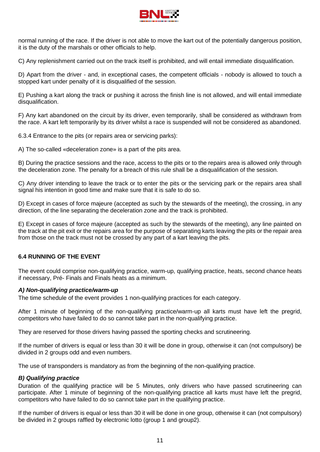

normal running of the race. If the driver is not able to move the kart out of the potentially dangerous position, it is the duty of the marshals or other officials to help.

C) Any replenishment carried out on the track itself is prohibited, and will entail immediate disqualification.

D) Apart from the driver - and, in exceptional cases, the competent officials - nobody is allowed to touch a stopped kart under penalty of it is disqualified of the session.

E) Pushing a kart along the track or pushing it across the finish line is not allowed, and will entail immediate disqualification.

F) Any kart abandoned on the circuit by its driver, even temporarily, shall be considered as withdrawn from the race. A kart left temporarily by its driver whilst a race is suspended will not be considered as abandoned.

6.3.4 Entrance to the pits (or repairs area or servicing parks):

A) The so-called «deceleration zone» is a part of the pits area.

B) During the practice sessions and the race, access to the pits or to the repairs area is allowed only through the deceleration zone. The penalty for a breach of this rule shall be a disqualification of the session.

C) Any driver intending to leave the track or to enter the pits or the servicing park or the repairs area shall signal his intention in good time and make sure that it is safe to do so.

D) Except in cases of force majeure (accepted as such by the stewards of the meeting), the crossing, in any direction, of the line separating the deceleration zone and the track is prohibited.

E) Except in cases of force majeure (accepted as such by the stewards of the meeting), any line painted on the track at the pit exit or the repairs area for the purpose of separating karts leaving the pits or the repair area from those on the track must not be crossed by any part of a kart leaving the pits.

#### **6.4 RUNNING OF THE EVENT**

The event could comprise non-qualifying practice, warm-up, qualifying practice, heats, second chance heats if necessary, Pré- Finals and Finals heats as a minimum.

#### *A) Non-qualifying practice/warm-up*

The time schedule of the event provides 1 non-qualifying practices for each category.

After 1 minute of beginning of the non-qualifying practice/warm-up all karts must have left the pregrid, competitors who have failed to do so cannot take part in the non-qualifying practice.

They are reserved for those drivers having passed the sporting checks and scrutineering.

If the number of drivers is equal or less than 30 it will be done in group, otherwise it can (not compulsory) be divided in 2 groups odd and even numbers.

The use of transponders is mandatory as from the beginning of the non-qualifying practice.

#### *B) Qualifying practice*

Duration of the qualifying practice will be 5 Minutes, only drivers who have passed scrutineering can participate. After 1 minute of beginning of the non-qualifying practice all karts must have left the pregrid, competitors who have failed to do so cannot take part in the qualifying practice.

If the number of drivers is equal or less than 30 it will be done in one group, otherwise it can (not compulsory) be divided in 2 groups raffled by electronic lotto (group 1 and group2).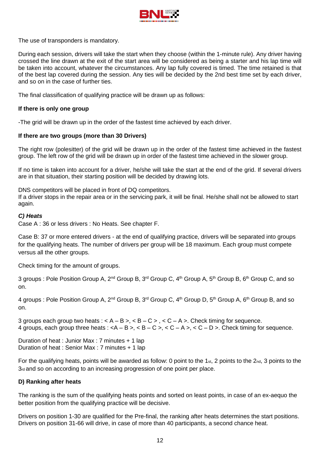

The use of transponders is mandatory.

During each session, drivers will take the start when they choose (within the 1-minute rule). Any driver having crossed the line drawn at the exit of the start area will be considered as being a starter and his lap time will be taken into account, whatever the circumstances. Any lap fully covered is timed. The time retained is that of the best lap covered during the session. Any ties will be decided by the 2nd best time set by each driver, and so on in the case of further ties.

The final classification of qualifying practice will be drawn up as follows:

#### **If there is only one group**

-The grid will be drawn up in the order of the fastest time achieved by each driver.

#### **If there are two groups (more than 30 Drivers)**

The right row (polesitter) of the grid will be drawn up in the order of the fastest time achieved in the fastest group. The left row of the grid will be drawn up in order of the fastest time achieved in the slower group.

If no time is taken into account for a driver, he/she will take the start at the end of the grid. If several drivers are in that situation, their starting position will be decided by drawing lots.

DNS competitors will be placed in front of DQ competitors.

If a driver stops in the repair area or in the servicing park, it will be final. He/she shall not be allowed to start again.

#### *C) Heats*

Case A : 36 or less drivers : No Heats. See chapter F.

Case B: 37 or more entered drivers - at the end of qualifying practice, drivers will be separated into groups for the qualifying heats. The number of drivers per group will be 18 maximum. Each group must compete versus all the other groups.

Check timing for the amount of groups.

3 groups : Pole Position Group A, 2<sup>nd</sup> Group B, 3<sup>rd</sup> Group C, 4<sup>th</sup> Group A, 5<sup>th</sup> Group B, 6<sup>th</sup> Group C, and so on.

4 groups : Pole Position Group A, 2<sup>nd</sup> Group B, 3<sup>rd</sup> Group C, 4<sup>th</sup> Group D, 5<sup>th</sup> Group A, 6<sup>th</sup> Group B, and so on.

3 groups each group two heats :  $\lt A - B \gt \lt B - C \gt \lt C - A \gt \lt$ . Check timing for sequence. 4 groups, each group three heats :  $>,  \$< B - C\$  >,  \$< C - A\$  >,  \$< C - D\$  >. Check timing for sequence.$ 

Duration of heat : Junior Max : 7 minutes + 1 lap Duration of heat : Senior Max : 7 minutes + 1 lap

For the qualifying heats, points will be awarded as follow: 0 point to the 1st, 2 points to the  $2n_d$ , 3 points to the 3rd and so on according to an increasing progression of one point per place.

#### **D) Ranking after heats**

The ranking is the sum of the qualifying heats points and sorted on least points, in case of an ex-aequo the better position from the qualifying practice will be decisive.

Drivers on position 1-30 are qualified for the Pre-final, the ranking after heats determines the start positions. Drivers on position 31-66 will drive, in case of more than 40 participants, a second chance heat.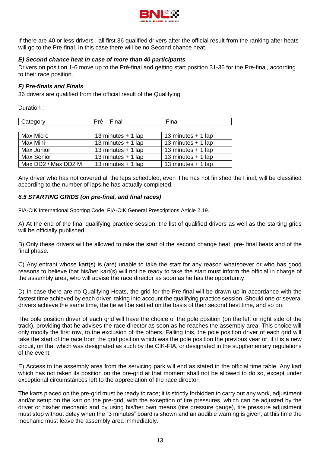

If there are 40 or less drivers : all first 36 qualified drivers after the official result from the ranking after heats will go to the Pre-final. In this case there will be no Second chance heat.

## *E) Second chance heat in case of more than 40 participants*

Drivers on position 1-6 move up to the Pré-final and getting start position 31-36 for the Pre-final, according to their race position.

#### *F) Pre-finals and Finals*

36 drivers are qualified from the official result of the Qualifying.

Duration :

| Category            | Pré – Final          | Final                |  |  |  |
|---------------------|----------------------|----------------------|--|--|--|
|                     |                      |                      |  |  |  |
| Max Micro           | 13 minutes $+$ 1 lap | 13 minutes $+$ 1 lap |  |  |  |
| Max Mini            | 13 minutes $+$ 1 lap | 13 minutes $+$ 1 lap |  |  |  |
| Max Junior          | 13 minutes + 1 lap   | 13 minutes $+$ 1 lap |  |  |  |
| Max Senior          | 13 minutes + 1 lap   | 13 minutes + 1 lap   |  |  |  |
| Max DD2 / Max DD2 M | 13 minutes $+$ 1 lap | 13 minutes $+$ 1 lap |  |  |  |

Any driver who has not covered all the laps scheduled, even if he has not finished the Final, will be classified according to the number of laps he has actually completed.

## *6.5 STARTING GRIDS (on pre-final, and final races)*

FIA-CIK International Sporting Code, FIA-CIK General Prescriptions Article 2.19.

A) At the end of the final qualifying practice session, the list of qualified drivers as well as the starting grids will be officially published.

B) Only these drivers will be allowed to take the start of the second change heat, pre- final heats and of the final phase.

C) Any entrant whose kart(s) is (are) unable to take the start for any reason whatsoever or who has good reasons to believe that his/her kart(s) will not be ready to take the start must inform the official in charge of the assembly area, who will advise the race director as soon as he has the opportunity.

D) In case there are no Qualifying Heats, the grid for the Pre-final will be drawn up in accordance with the fastest time achieved by each driver, taking into account the qualifying practice session. Should one or several drivers achieve the same time, the tie will be settled on the basis of their second best time, and so on.

The pole position driver of each grid will have the choice of the pole position (on the left or right side of the track), providing that he advises the race director as soon as he reaches the assembly area. This choice will only modify the first row, to the exclusion of the others. Failing this, the pole position driver of each grid will take the start of the race from the grid position which was the pole position the previous year or, if it is a new circuit, on that which was designated as such by the CIK-FIA, or designated in the supplementary regulations of the event.

E) Access to the assembly area from the servicing park will end as stated in the official time table. Any kart which has not taken its position on the pre-grid at that moment shall not be allowed to do so, except under exceptional circumstances left to the appreciation of the race director.

The karts placed on the pre-grid must be ready to race; it is strictly forbidden to carry out any work, adjustment and/or setup on the kart on the pre-grid, with the exception of tire pressures, which can be adjusted by the driver or his/her mechanic and by using his/her own means (tire pressure gauge), tire pressure adjustment must stop without delay when the "3 minutes" board is shown and an audible warning is given, at this time the mechanic must leave the assembly area immediately.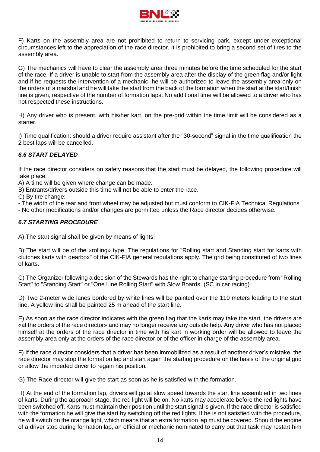

F) Karts on the assembly area are not prohibited to return to servicing park, except under exceptional circumstances left to the appreciation of the race director. It is prohibited to bring a second set of tires to the assembly area.

G) The mechanics will have to clear the assembly area three minutes before the time scheduled for the start of the race. If a driver is unable to start from the assembly area after the display of the green flag and/or light and if he requests the intervention of a mechanic, he will be authorized to leave the assembly area only on the orders of a marshal and he will take the start from the back of the formation when the start at the start/finish line is given, respective of the number of formation laps. No additional time will be allowed to a driver who has not respected these instructions.

H) Any driver who is present, with his/her kart, on the pre-grid within the time limit will be considered as a starter.

I) Time qualification: should a driver require assistant after the "30-second" signal in the time qualification the 2 best laps will be cancelled.

## *6.6 START DELAYED*

If the race director considers on safety reasons that the start must be delayed, the following procedure will take place.

A) A time will be given where change can be made.

B) Entrants/drivers outside this time will not be able to enter the race.

C) By tire change:

- The width of the rear and front wheel may be adjusted but must conform to CIK-FIA Technical Regulations

- No other modifications and/or changes are permitted unless the Race director decides otherwise.

#### *6.7 STARTING PROCEDURE*

A) The start signal shall be given by means of lights.

B) The start will be of the «rolling» type. The regulations for "Rolling start and Standing start for karts with clutches karts with gearbox" of the CIK-FIA general regulations apply. The grid being constituted of two lines of karts.

C) The Organizer following a decision of the Stewards has the right to change starting procedure from "Rolling Start" to "Standing Start" or "One Line Rolling Start" with Slow Boards. (SC in car racing)

D) Two 2-meter wide lanes bordered by white lines will be painted over the 110 meters leading to the start line. A yellow line shall be painted 25 m ahead of the start line.

E) As soon as the race director indicates with the green flag that the karts may take the start, the drivers are «at the orders of the race director» and may no longer receive any outside help. Any driver who has not placed himself at the orders of the race director in time with his kart in working order will be allowed to leave the assembly area only at the orders of the race director or of the officer in charge of the assembly area.

F) If the race director considers that a driver has been immobilized as a result of another driver's mistake, the race director may stop the formation lap and start again the starting procedure on the basis of the original grid or allow the impeded driver to regain his position.

G) The Race director will give the start as soon as he is satisfied with the formation.

H) At the end of the formation lap, drivers will go at slow speed towards the start line assembled in two lines of karts. During the approach stage, the red light will be on. No karts may accelerate before the red lights have been switched off. Karts must maintain their position until the start signal is given. If the race director is satisfied with the formation he will give the start by switching off the red lights. If he is not satisfied with the procedure, he will switch on the orange light, which means that an extra formation lap must be covered. Should the engine of a driver stop during formation lap, an official or mechanic nominated to carry out that task may restart him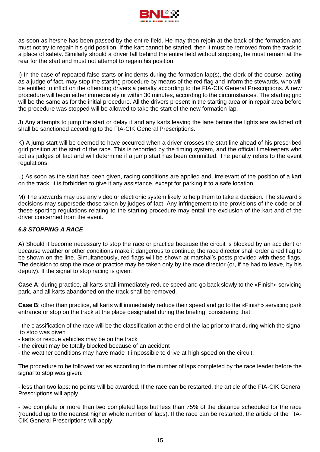

as soon as he/she has been passed by the entire field. He may then rejoin at the back of the formation and must not try to regain his grid position. If the kart cannot be started, then it must be removed from the track to a place of safety. Similarly should a driver fall behind the entire field without stopping, he must remain at the rear for the start and must not attempt to regain his position.

I) In the case of repeated false starts or incidents during the formation lap(s), the clerk of the course, acting as a judge of fact, may stop the starting procedure by means of the red flag and inform the stewards, who will be entitled to inflict on the offending drivers a penalty according to the FIA-CIK General Prescriptions. A new procedure will begin either immediately or within 30 minutes, according to the circumstances. The starting grid will be the same as for the initial procedure. All the drivers present in the starting area or in repair area before the procedure was stopped will be allowed to take the start of the new formation lap.

J) Any attempts to jump the start or delay it and any karts leaving the lane before the lights are switched off shall be sanctioned according to the FIA-CIK General Prescriptions.

K) A jump start will be deemed to have occurred when a driver crosses the start line ahead of his prescribed grid position at the start of the race. This is recorded by the timing system, and the official timekeepers who act as judges of fact and will determine if a jump start has been committed. The penalty refers to the event regulations.

L) As soon as the start has been given, racing conditions are applied and, irrelevant of the position of a kart on the track, it is forbidden to give it any assistance, except for parking it to a safe location.

M) The stewards may use any video or electronic system likely to help them to take a decision. The steward's decisions may supersede those taken by judges of fact. Any infringement to the provisions of the code or of these sporting regulations relating to the starting procedure may entail the exclusion of the kart and of the driver concerned from the event.

#### *6.8 STOPPING A RACE*

A) Should it become necessary to stop the race or practice because the circuit is blocked by an accident or because weather or other conditions make it dangerous to continue, the race director shall order a red flag to be shown on the line. Simultaneously, red flags will be shown at marshal's posts provided with these flags. The decision to stop the race or practice may be taken only by the race director (or, if he had to leave, by his deputy). If the signal to stop racing is given:

**Case A**: during practice, all karts shall immediately reduce speed and go back slowly to the «Finish» servicing park, and all karts abandoned on the track shall be removed.

**Case B**: other than practice, all karts will immediately reduce their speed and go to the «Finish» servicing park entrance or stop on the track at the place designated during the briefing, considering that:

- the classification of the race will be the classification at the end of the lap prior to that during which the signal to stop was given

- karts or rescue vehicles may be on the track
- the circuit may be totally blocked because of an accident
- the weather conditions may have made it impossible to drive at high speed on the circuit.

The procedure to be followed varies according to the number of laps completed by the race leader before the signal to stop was given:

- less than two laps: no points will be awarded. If the race can be restarted, the article of the FIA-CIK General Prescriptions will apply.

- two complete or more than two completed laps but less than 75% of the distance scheduled for the race (rounded up to the nearest higher whole number of laps). If the race can be restarted, the article of the FIA-CIK General Prescriptions will apply.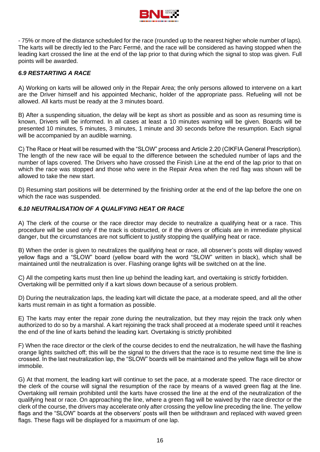

- 75% or more of the distance scheduled for the race (rounded up to the nearest higher whole number of laps). The karts will be directly led to the Parc Fermé, and the race will be considered as having stopped when the leading kart crossed the line at the end of the lap prior to that during which the signal to stop was given. Full points will be awarded.

## *6.9 RESTARTING A RACE*

A) Working on karts will be allowed only in the Repair Area; the only persons allowed to intervene on a kart are the Driver himself and his appointed Mechanic, holder of the appropriate pass. Refueling will not be allowed. All karts must be ready at the 3 minutes board.

B) After a suspending situation, the delay will be kept as short as possible and as soon as resuming time is known, Drivers will be informed. In all cases at least a 10 minutes warning will be given. Boards will be presented 10 minutes, 5 minutes, 3 minutes, 1 minute and 30 seconds before the resumption. Each signal will be accompanied by an audible warning.

C) The Race or Heat will be resumed with the "SLOW" process and Article 2.20 (CIKFIA General Prescription). The length of the new race will be equal to the difference between the scheduled number of laps and the number of laps covered. The Drivers who have crossed the Finish Line at the end of the lap prior to that on which the race was stopped and those who were in the Repair Area when the red flag was shown will be allowed to take the new start.

D) Resuming start positions will be determined by the finishing order at the end of the lap before the one on which the race was suspended.

#### *6.10 NEUTRALISATION OF A QUALIFYING HEAT OR RACE*

A) The clerk of the course or the race director may decide to neutralize a qualifying heat or a race. This procedure will be used only if the track is obstructed, or if the drivers or officials are in immediate physical danger, but the circumstances are not sufficient to justify stopping the qualifying heat or race.

B) When the order is given to neutralizes the qualifying heat or race, all observer's posts will display waved yellow flags and a "SLOW" board (yellow board with the word "SLOW" written in black), which shall be maintained until the neutralization is over. Flashing orange lights will be switched on at the line.

C) All the competing karts must then line up behind the leading kart, and overtaking is strictly forbidden. Overtaking will be permitted only if a kart slows down because of a serious problem.

D) During the neutralization laps, the leading kart will dictate the pace, at a moderate speed, and all the other karts must remain in as tight a formation as possible.

E) The karts may enter the repair zone during the neutralization, but they may rejoin the track only when authorized to do so by a marshal. A kart rejoining the track shall proceed at a moderate speed until it reaches the end of the line of karts behind the leading kart. Overtaking is strictly prohibited

F) When the race director or the clerk of the course decides to end the neutralization, he will have the flashing orange lights switched off; this will be the signal to the drivers that the race is to resume next time the line is crossed. In the last neutralization lap, the "SLOW" boards will be maintained and the yellow flags will be show immobile.

G) At that moment, the leading kart will continue to set the pace, at a moderate speed. The race director or the clerk of the course will signal the resumption of the race by means of a waved green flag at the line. Overtaking will remain prohibited until the karts have crossed the line at the end of the neutralization of the qualifying heat or race. On approaching the line, where a green flag will be waived by the race director or the clerk of the course, the drivers may accelerate only after crossing the yellow line preceding the line. The yellow flags and the "SLOW" boards at the observers' posts will then be withdrawn and replaced with waved green flags. These flags will be displayed for a maximum of one lap.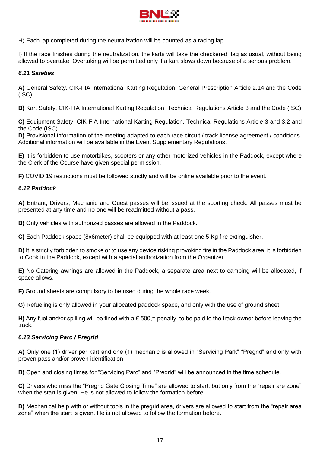

H) Each lap completed during the neutralization will be counted as a racing lap.

I) If the race finishes during the neutralization, the karts will take the checkered flag as usual, without being allowed to overtake. Overtaking will be permitted only if a kart slows down because of a serious problem.

#### *6.11 Safeties*

**A)** General Safety. CIK-FIA International Karting Regulation, General Prescription Article 2.14 and the Code (ISC)

**B)** Kart Safety. CIK-FIA International Karting Regulation, Technical Regulations Article 3 and the Code (ISC)

**C)** Equipment Safety. CIK-FIA International Karting Regulation, Technical Regulations Article 3 and 3.2 and the Code (ISC)

**D)** Provisional information of the meeting adapted to each race circuit / track license agreement / conditions. Additional information will be available in the Event Supplementary Regulations.

**E)** It is forbidden to use motorbikes, scooters or any other motorized vehicles in the Paddock, except where the Clerk of the Course have given special permission.

**F)** COVID 19 restrictions must be followed strictly and will be online available prior to the event.

#### *6.12 Paddock*

**A)** Entrant, Drivers, Mechanic and Guest passes will be issued at the sporting check. All passes must be presented at any time and no one will be readmitted without a pass.

**B)** Only vehicles with authorized passes are allowed in the Paddock.

**C)** Each Paddock space (8x6meter) shall be equipped with at least one 5 Kg fire extinguisher.

**D)** It is strictly forbidden to smoke or to use any device risking provoking fire in the Paddock area, it is forbidden to Cook in the Paddock, except with a special authorization from the Organizer

**E)** No Catering awnings are allowed in the Paddock, a separate area next to camping will be allocated, if space allows.

**F)** Ground sheets are compulsory to be used during the whole race week.

**G)** Refueling is only allowed in your allocated paddock space, and only with the use of ground sheet.

**H)** Any fuel and/or spilling will be fined with a  $\epsilon$  500,= penalty, to be paid to the track owner before leaving the track.

#### *6.13 Servicing Parc / Pregrid*

**A)** Only one (1) driver per kart and one (1) mechanic is allowed in "Servicing Park" "Pregrid" and only with proven pass and/or proven identification

**B)** Open and closing times for "Servicing Parc" and "Pregrid" will be announced in the time schedule.

**C)** Drivers who miss the "Pregrid Gate Closing Time" are allowed to start, but only from the "repair are zone" when the start is given. He is not allowed to follow the formation before.

**D)** Mechanical help with or without tools in the pregrid area, drivers are allowed to start from the "repair area zone" when the start is given. He is not allowed to follow the formation before.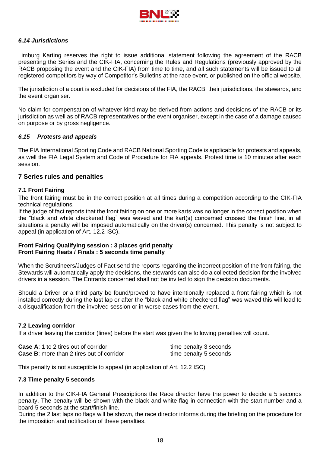

#### *6.14 Jurisdictions*

Limburg Karting reserves the right to issue additional statement following the agreement of the RACB presenting the Series and the CIK-FIA, concerning the Rules and Regulations (previously approved by the RACB proposing the event and the CIK-FIA) from time to time, and all such statements will be issued to all registered competitors by way of Competitor's Bulletins at the race event, or published on the official website.

The jurisdiction of a court is excluded for decisions of the FIA, the RACB, their jurisdictions, the stewards, and the event organiser.

No claim for compensation of whatever kind may be derived from actions and decisions of the RACB or its jurisdiction as well as of RACB representatives or the event organiser, except in the case of a damage caused on purpose or by gross negligence.

#### *6.15 Protests and appeals*

The FIA International Sporting Code and RACB National Sporting Code is applicable for protests and appeals, as well the FIA Legal System and Code of Procedure for FIA appeals. Protest time is 10 minutes after each session.

#### **7 Series rules and penalties**

#### **7.1 Front Fairing**

The front fairing must be in the correct position at all times during a competition according to the CIK-FIA technical regulations.

If the judge of fact reports that the front fairing on one or more karts was no longer in the correct position when the "black and white checkered flag" was waved and the kart(s) concerned crossed the finish line, in all situations a penalty will be imposed automatically on the driver(s) concerned. This penalty is not subject to appeal (in application of Art. 12.2 ISC).

#### **Front Fairing Qualifying session : 3 places grid penalty Front Fairing Heats / Finals : 5 seconds time penalty**

When the Scrutineers/Judges of Fact send the reports regarding the incorrect position of the front fairing, the Stewards will automatically apply the decisions, the stewards can also do a collected decision for the involved drivers in a session. The Entrants concerned shall not be invited to sign the decision documents.

Should a Driver or a third party be found/proved to have intentionally replaced a front fairing which is not installed correctly during the last lap or after the "black and white checkered flag" was waved this will lead to a disqualification from the involved session or in worse cases from the event.

#### **7.2 Leaving corridor**

If a driver leaving the corridor (lines) before the start was given the following penalties will count.

| <b>Case A:</b> 1 to 2 tires out of corridor      | time penalty 3 seconds |
|--------------------------------------------------|------------------------|
| <b>Case B:</b> more than 2 tires out of corridor | time penalty 5 seconds |

This penalty is not susceptible to appeal (in application of Art. 12.2 ISC).

#### **7.3 Time penalty 5 seconds**

In addition to the CIK-FIA General Prescriptions the Race director have the power to decide a 5 seconds penalty. The penalty will be shown with the black and white flag in connection with the start number and a board 5 seconds at the start/finish line.

During the 2 last laps no flags will be shown, the race director informs during the briefing on the procedure for the imposition and notification of these penalties.